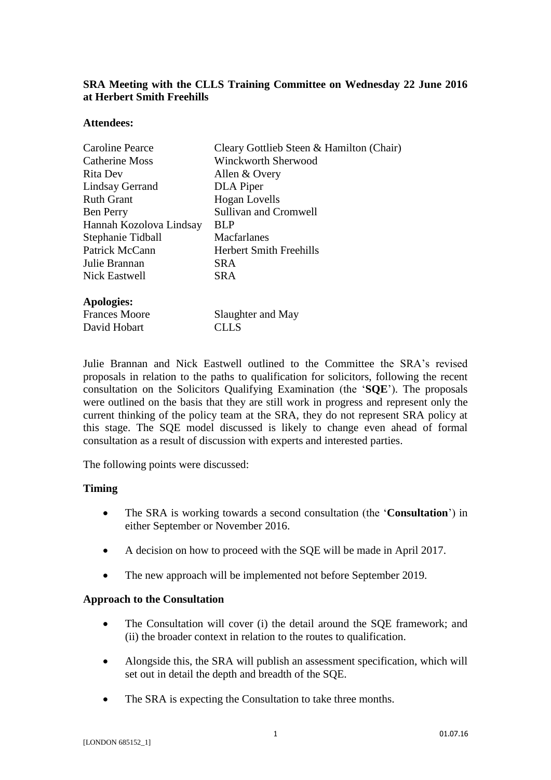# **SRA Meeting with the CLLS Training Committee on Wednesday 22 June 2016 at Herbert Smith Freehills**

#### **Attendees:**

| <b>Caroline Pearce</b>  | Cleary Gottlieb Steen & Hamilton (Chair) |
|-------------------------|------------------------------------------|
| Catherine Moss          | Winckworth Sherwood                      |
| Rita Dev                | Allen & Overy                            |
| Lindsay Gerrand         | DLA Piper                                |
| <b>Ruth Grant</b>       | <b>Hogan</b> Lovells                     |
| <b>Ben Perry</b>        | <b>Sullivan and Cromwell</b>             |
| Hannah Kozolova Lindsay | <b>BLP</b>                               |
| Stephanie Tidball       | <b>Macfarlanes</b>                       |
| Patrick McCann          | <b>Herbert Smith Freehills</b>           |
| Julie Brannan           | SRA.                                     |
| <b>Nick Eastwell</b>    | <b>SRA</b>                               |
| Apologies:              |                                          |
| <b>Frances Moore</b>    | Slaughter and May                        |
| David Hobart            | CLLS                                     |

Julie Brannan and Nick Eastwell outlined to the Committee the SRA's revised proposals in relation to the paths to qualification for solicitors, following the recent consultation on the Solicitors Qualifying Examination (the '**SQE**'). The proposals were outlined on the basis that they are still work in progress and represent only the current thinking of the policy team at the SRA, they do not represent SRA policy at this stage. The SQE model discussed is likely to change even ahead of formal consultation as a result of discussion with experts and interested parties.

The following points were discussed:

### **Timing**

- The SRA is working towards a second consultation (the '**Consultation**') in either September or November 2016.
- A decision on how to proceed with the SQE will be made in April 2017.
- The new approach will be implemented not before September 2019.

### **Approach to the Consultation**

- The Consultation will cover (i) the detail around the SQE framework; and (ii) the broader context in relation to the routes to qualification.
- Alongside this, the SRA will publish an assessment specification, which will set out in detail the depth and breadth of the SQE.
- The SRA is expecting the Consultation to take three months.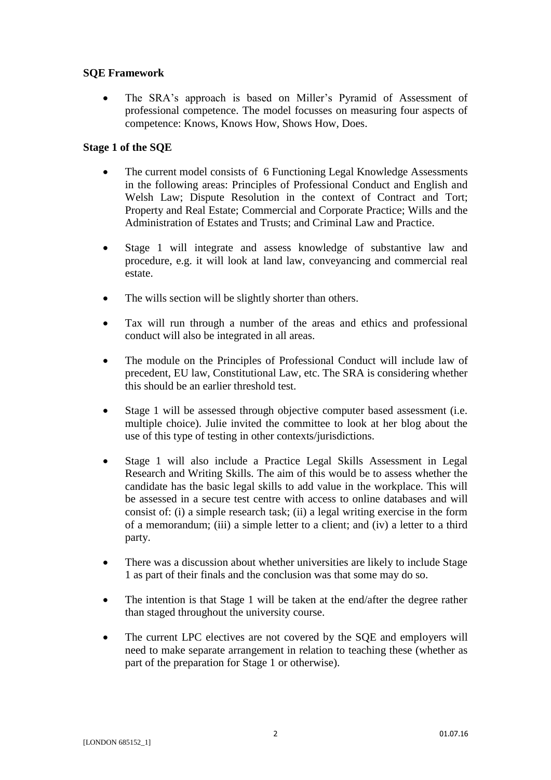## **SQE Framework**

 The SRA's approach is based on Miller's Pyramid of Assessment of professional competence. The model focusses on measuring four aspects of competence: Knows, Knows How, Shows How, Does.

## **Stage 1 of the SQE**

- The current model consists of 6 Functioning Legal Knowledge Assessments in the following areas: Principles of Professional Conduct and English and Welsh Law; Dispute Resolution in the context of Contract and Tort; Property and Real Estate; Commercial and Corporate Practice; Wills and the Administration of Estates and Trusts; and Criminal Law and Practice.
- Stage 1 will integrate and assess knowledge of substantive law and procedure, e.g. it will look at land law, conveyancing and commercial real estate.
- The wills section will be slightly shorter than others.
- Tax will run through a number of the areas and ethics and professional conduct will also be integrated in all areas.
- The module on the Principles of Professional Conduct will include law of precedent, EU law, Constitutional Law, etc. The SRA is considering whether this should be an earlier threshold test.
- Stage 1 will be assessed through objective computer based assessment (i.e. multiple choice). Julie invited the committee to look at her blog about the use of this type of testing in other contexts/jurisdictions.
- Stage 1 will also include a Practice Legal Skills Assessment in Legal Research and Writing Skills. The aim of this would be to assess whether the candidate has the basic legal skills to add value in the workplace. This will be assessed in a secure test centre with access to online databases and will consist of: (i) a simple research task; (ii) a legal writing exercise in the form of a memorandum; (iii) a simple letter to a client; and (iv) a letter to a third party.
- There was a discussion about whether universities are likely to include Stage 1 as part of their finals and the conclusion was that some may do so.
- The intention is that Stage 1 will be taken at the end/after the degree rather than staged throughout the university course.
- The current LPC electives are not covered by the SQE and employers will need to make separate arrangement in relation to teaching these (whether as part of the preparation for Stage 1 or otherwise).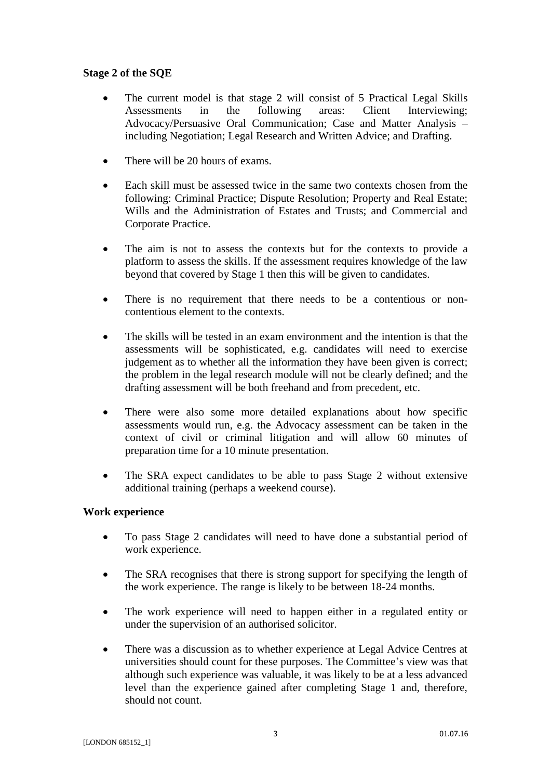## **Stage 2 of the SQE**

- The current model is that stage 2 will consist of 5 Practical Legal Skills Assessments in the following areas: Client Interviewing: Advocacy/Persuasive Oral Communication; Case and Matter Analysis – including Negotiation; Legal Research and Written Advice; and Drafting.
- There will be 20 hours of exams.
- Each skill must be assessed twice in the same two contexts chosen from the following: Criminal Practice; Dispute Resolution; Property and Real Estate; Wills and the Administration of Estates and Trusts; and Commercial and Corporate Practice.
- The aim is not to assess the contexts but for the contexts to provide a platform to assess the skills. If the assessment requires knowledge of the law beyond that covered by Stage 1 then this will be given to candidates.
- There is no requirement that there needs to be a contentious or noncontentious element to the contexts.
- The skills will be tested in an exam environment and the intention is that the assessments will be sophisticated, e.g. candidates will need to exercise judgement as to whether all the information they have been given is correct; the problem in the legal research module will not be clearly defined; and the drafting assessment will be both freehand and from precedent, etc.
- There were also some more detailed explanations about how specific assessments would run, e.g. the Advocacy assessment can be taken in the context of civil or criminal litigation and will allow 60 minutes of preparation time for a 10 minute presentation.
- The SRA expect candidates to be able to pass Stage 2 without extensive additional training (perhaps a weekend course).

### **Work experience**

- To pass Stage 2 candidates will need to have done a substantial period of work experience.
- The SRA recognises that there is strong support for specifying the length of the work experience. The range is likely to be between 18-24 months.
- The work experience will need to happen either in a regulated entity or under the supervision of an authorised solicitor.
- There was a discussion as to whether experience at Legal Advice Centres at universities should count for these purposes. The Committee's view was that although such experience was valuable, it was likely to be at a less advanced level than the experience gained after completing Stage 1 and, therefore, should not count.